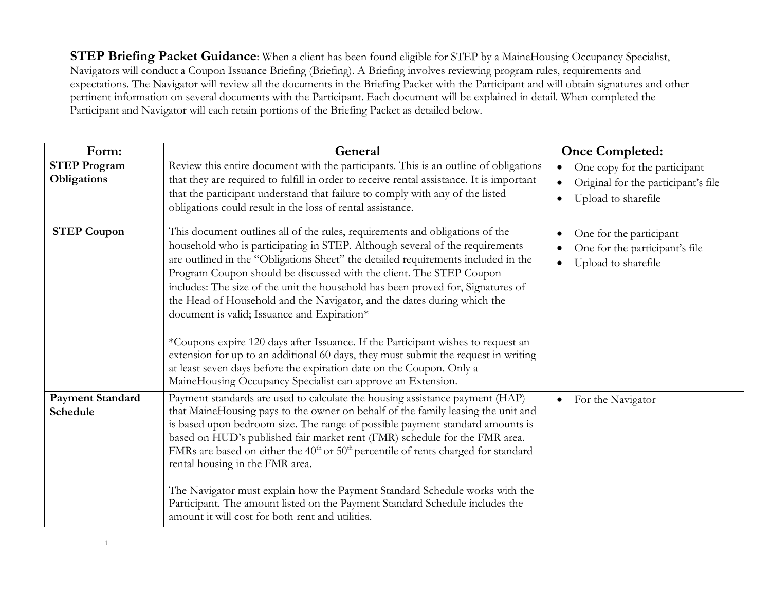**STEP Briefing Packet Guidance**: When a client has been found eligible for STEP by a MaineHousing Occupancy Specialist, Navigators will conduct a Coupon Issuance Briefing (Briefing). A Briefing involves reviewing program rules, requirements and expectations. The Navigator will review all the documents in the Briefing Packet with the Participant and will obtain signatures and other pertinent information on several documents with the Participant. Each document will be explained in detail. When completed the Participant and Navigator will each retain portions of the Briefing Packet as detailed below.

| Form:                               | General                                                                                                                                                                                                                                                                                                                                                                                                                                                                                                                                                                                                                                                                                                                                                                                                                                                | <b>Once Completed:</b>                                                                     |
|-------------------------------------|--------------------------------------------------------------------------------------------------------------------------------------------------------------------------------------------------------------------------------------------------------------------------------------------------------------------------------------------------------------------------------------------------------------------------------------------------------------------------------------------------------------------------------------------------------------------------------------------------------------------------------------------------------------------------------------------------------------------------------------------------------------------------------------------------------------------------------------------------------|--------------------------------------------------------------------------------------------|
| <b>STEP Program</b><br>Obligations  | Review this entire document with the participants. This is an outline of obligations<br>that they are required to fulfill in order to receive rental assistance. It is important<br>that the participant understand that failure to comply with any of the listed<br>obligations could result in the loss of rental assistance.                                                                                                                                                                                                                                                                                                                                                                                                                                                                                                                        | One copy for the participant<br>Original for the participant's file<br>Upload to sharefile |
| <b>STEP Coupon</b>                  | This document outlines all of the rules, requirements and obligations of the<br>household who is participating in STEP. Although several of the requirements<br>are outlined in the "Obligations Sheet" the detailed requirements included in the<br>Program Coupon should be discussed with the client. The STEP Coupon<br>includes: The size of the unit the household has been proved for, Signatures of<br>the Head of Household and the Navigator, and the dates during which the<br>document is valid; Issuance and Expiration*<br>*Coupons expire 120 days after Issuance. If the Participant wishes to request an<br>extension for up to an additional 60 days, they must submit the request in writing<br>at least seven days before the expiration date on the Coupon. Only a<br>MaineHousing Occupancy Specialist can approve an Extension. | One for the participant<br>One for the participant's file<br>Upload to sharefile           |
| <b>Payment Standard</b><br>Schedule | Payment standards are used to calculate the housing assistance payment (HAP)<br>that MaineHousing pays to the owner on behalf of the family leasing the unit and<br>is based upon bedroom size. The range of possible payment standard amounts is<br>based on HUD's published fair market rent (FMR) schedule for the FMR area.<br>FMRs are based on either the $40th$ or $50th$ percentile of rents charged for standard<br>rental housing in the FMR area.<br>The Navigator must explain how the Payment Standard Schedule works with the<br>Participant. The amount listed on the Payment Standard Schedule includes the<br>amount it will cost for both rent and utilities.                                                                                                                                                                        | For the Navigator<br>$\bullet$                                                             |

1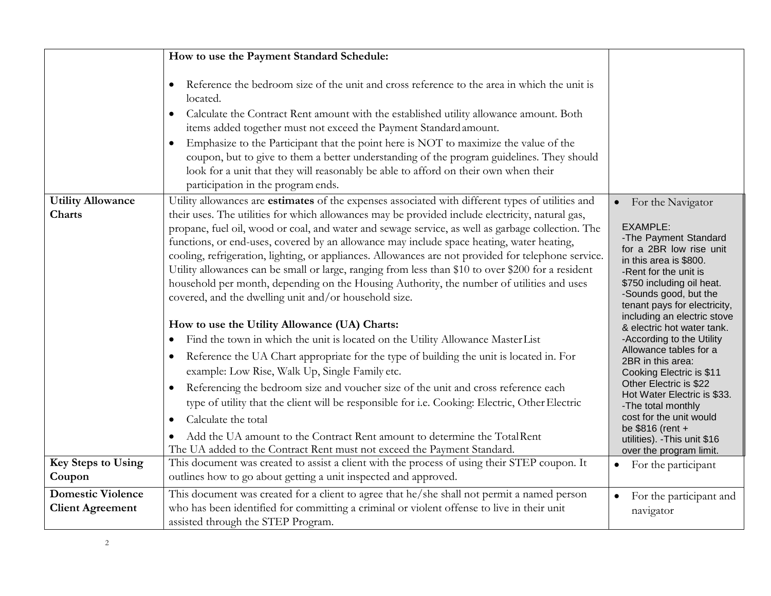|                                                                                  | How to use the Payment Standard Schedule:                                                                                                                                                                                                                                                                                                                                                                                                                                                                                                                                                                                                                                                                                                                                                                                                                                                                                                                                                                                                                                                                                                                                                                                                                                                                                                                                                                                                                                                                                                                                                                                      |                                                                                                                                                                                                                                                                                                                                                                                                                                                                                                                                                                                                                                                  |
|----------------------------------------------------------------------------------|--------------------------------------------------------------------------------------------------------------------------------------------------------------------------------------------------------------------------------------------------------------------------------------------------------------------------------------------------------------------------------------------------------------------------------------------------------------------------------------------------------------------------------------------------------------------------------------------------------------------------------------------------------------------------------------------------------------------------------------------------------------------------------------------------------------------------------------------------------------------------------------------------------------------------------------------------------------------------------------------------------------------------------------------------------------------------------------------------------------------------------------------------------------------------------------------------------------------------------------------------------------------------------------------------------------------------------------------------------------------------------------------------------------------------------------------------------------------------------------------------------------------------------------------------------------------------------------------------------------------------------|--------------------------------------------------------------------------------------------------------------------------------------------------------------------------------------------------------------------------------------------------------------------------------------------------------------------------------------------------------------------------------------------------------------------------------------------------------------------------------------------------------------------------------------------------------------------------------------------------------------------------------------------------|
|                                                                                  | Reference the bedroom size of the unit and cross reference to the area in which the unit is<br>located.<br>• Calculate the Contract Rent amount with the established utility allowance amount. Both<br>items added together must not exceed the Payment Standard amount.<br>Emphasize to the Participant that the point here is NOT to maximize the value of the<br>coupon, but to give to them a better understanding of the program guidelines. They should<br>look for a unit that they will reasonably be able to afford on their own when their<br>participation in the program ends.                                                                                                                                                                                                                                                                                                                                                                                                                                                                                                                                                                                                                                                                                                                                                                                                                                                                                                                                                                                                                                     |                                                                                                                                                                                                                                                                                                                                                                                                                                                                                                                                                                                                                                                  |
| <b>Utility Allowance</b><br><b>Charts</b><br><b>Key Steps to Using</b><br>Coupon | Utility allowances are estimates of the expenses associated with different types of utilities and<br>their uses. The utilities for which allowances may be provided include electricity, natural gas,<br>propane, fuel oil, wood or coal, and water and sewage service, as well as garbage collection. The<br>functions, or end-uses, covered by an allowance may include space heating, water heating,<br>cooling, refrigeration, lighting, or appliances. Allowances are not provided for telephone service.<br>Utility allowances can be small or large, ranging from less than \$10 to over \$200 for a resident<br>household per month, depending on the Housing Authority, the number of utilities and uses<br>covered, and the dwelling unit and/or household size.<br>How to use the Utility Allowance (UA) Charts:<br>Find the town in which the unit is located on the Utility Allowance MasterList<br>$\bullet$<br>Reference the UA Chart appropriate for the type of building the unit is located in. For<br>example: Low Rise, Walk Up, Single Family etc.<br>Referencing the bedroom size and voucher size of the unit and cross reference each<br>type of utility that the client will be responsible for i.e. Cooking: Electric, Other Electric<br>Calculate the total<br>$\bullet$<br>Add the UA amount to the Contract Rent amount to determine the Total Rent<br>The UA added to the Contract Rent must not exceed the Payment Standard.<br>This document was created to assist a client with the process of using their STEP coupon. It<br>outlines how to go about getting a unit inspected and approved. | For the Navigator<br>$\bullet$<br><b>EXAMPLE:</b><br>-The Payment Standard<br>for a 2BR low rise unit<br>in this area is \$800.<br>-Rent for the unit is<br>\$750 including oil heat.<br>-Sounds good, but the<br>tenant pays for electricity,<br>including an electric stove<br>& electric hot water tank.<br>-According to the Utility<br>Allowance tables for a<br>2BR in this area:<br>Cooking Electric is \$11<br>Other Electric is \$22<br>Hot Water Electric is \$33.<br>-The total monthly<br>cost for the unit would<br>be \$816 (rent +<br>utilities). - This unit \$16<br>over the program limit.<br>For the participant<br>$\bullet$ |
| <b>Domestic Violence</b>                                                         | This document was created for a client to agree that he/she shall not permit a named person                                                                                                                                                                                                                                                                                                                                                                                                                                                                                                                                                                                                                                                                                                                                                                                                                                                                                                                                                                                                                                                                                                                                                                                                                                                                                                                                                                                                                                                                                                                                    | For the participant and<br>$\bullet$                                                                                                                                                                                                                                                                                                                                                                                                                                                                                                                                                                                                             |
| <b>Client Agreement</b>                                                          | who has been identified for committing a criminal or violent offense to live in their unit<br>assisted through the STEP Program.                                                                                                                                                                                                                                                                                                                                                                                                                                                                                                                                                                                                                                                                                                                                                                                                                                                                                                                                                                                                                                                                                                                                                                                                                                                                                                                                                                                                                                                                                               | navigator                                                                                                                                                                                                                                                                                                                                                                                                                                                                                                                                                                                                                                        |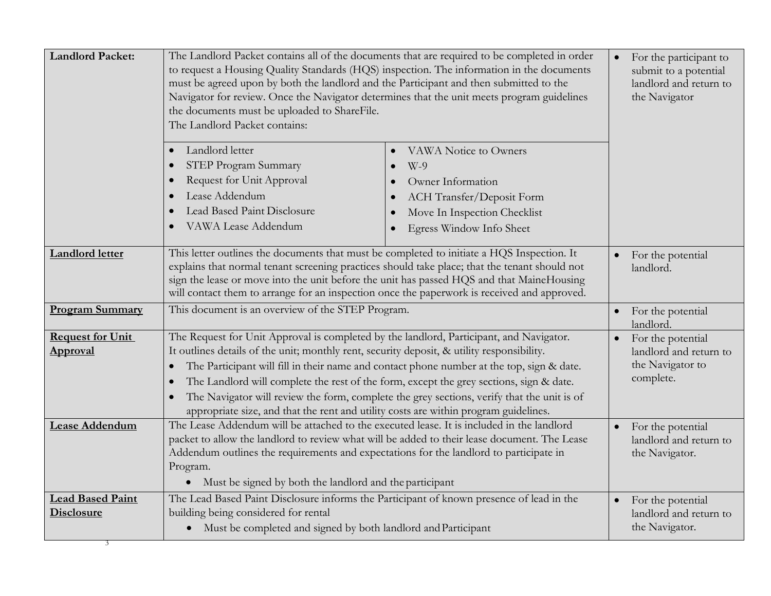| Landlord letter<br>VAWA Notice to Owners<br>$\bullet$<br>STEP Program Summary<br>$W-9$<br>$\bullet$<br>Request for Unit Approval<br>Owner Information<br>$\bullet$<br>Lease Addendum<br>ACH Transfer/Deposit Form<br>$\bullet$<br>Lead Based Paint Disclosure<br>Move In Inspection Checklist<br>$\bullet$<br>VAWA Lease Addendum<br>Egress Window Info Sheet<br>$\bullet$<br>This letter outlines the documents that must be completed to initiate a HQS Inspection. It<br><b>Landlord letter</b><br>For the potential<br>explains that normal tenant screening practices should take place; that the tenant should not<br>landlord.<br>sign the lease or move into the unit before the unit has passed HQS and that MaineHousing<br>will contact them to arrange for an inspection once the paperwork is received and approved.<br>This document is an overview of the STEP Program.<br><b>Program Summary</b><br>For the potential<br>landlord.<br>The Request for Unit Approval is completed by the landlord, Participant, and Navigator.<br><b>Request for Unit</b><br>For the potential<br>It outlines details of the unit; monthly rent, security deposit, & utility responsibility.<br>Approval<br>landlord and return to<br>the Navigator to<br>The Participant will fill in their name and contact phone number at the top, sign & date.<br>$\bullet$<br>complete.<br>The Landlord will complete the rest of the form, except the grey sections, sign & date.<br>$\bullet$<br>The Navigator will review the form, complete the grey sections, verify that the unit is of<br>$\bullet$<br>appropriate size, and that the rent and utility costs are within program guidelines.<br>The Lease Addendum will be attached to the executed lease. It is included in the landlord<br>Lease Addendum<br>For the potential<br>packet to allow the landlord to review what will be added to their lease document. The Lease<br>landlord and return to<br>Addendum outlines the requirements and expectations for the landlord to participate in<br>the Navigator.<br>Program.<br>Must be signed by both the landlord and the participant<br>$\bullet$<br>The Lead Based Paint Disclosure informs the Participant of known presence of lead in the<br><b>Lead Based Paint</b><br>For the potential<br>$\bullet$<br>building being considered for rental<br><b>Disclosure</b><br>landlord and return to<br>the Navigator.<br>Must be completed and signed by both landlord and Participant<br>$\bullet$ | <b>Landlord Packet:</b> | The Landlord Packet contains all of the documents that are required to be completed in order<br>to request a Housing Quality Standards (HQS) inspection. The information in the documents<br>must be agreed upon by both the landlord and the Participant and then submitted to the<br>Navigator for review. Once the Navigator determines that the unit meets program guidelines<br>the documents must be uploaded to ShareFile.<br>The Landlord Packet contains: | For the participant to<br>submit to a potential<br>landlord and return to<br>the Navigator |  |
|-------------------------------------------------------------------------------------------------------------------------------------------------------------------------------------------------------------------------------------------------------------------------------------------------------------------------------------------------------------------------------------------------------------------------------------------------------------------------------------------------------------------------------------------------------------------------------------------------------------------------------------------------------------------------------------------------------------------------------------------------------------------------------------------------------------------------------------------------------------------------------------------------------------------------------------------------------------------------------------------------------------------------------------------------------------------------------------------------------------------------------------------------------------------------------------------------------------------------------------------------------------------------------------------------------------------------------------------------------------------------------------------------------------------------------------------------------------------------------------------------------------------------------------------------------------------------------------------------------------------------------------------------------------------------------------------------------------------------------------------------------------------------------------------------------------------------------------------------------------------------------------------------------------------------------------------------------------------------------------------------------------------------------------------------------------------------------------------------------------------------------------------------------------------------------------------------------------------------------------------------------------------------------------------------------------------------------------------------------------------------------------------------------------------------------------------------------------------------------------------------------|-------------------------|--------------------------------------------------------------------------------------------------------------------------------------------------------------------------------------------------------------------------------------------------------------------------------------------------------------------------------------------------------------------------------------------------------------------------------------------------------------------|--------------------------------------------------------------------------------------------|--|
|                                                                                                                                                                                                                                                                                                                                                                                                                                                                                                                                                                                                                                                                                                                                                                                                                                                                                                                                                                                                                                                                                                                                                                                                                                                                                                                                                                                                                                                                                                                                                                                                                                                                                                                                                                                                                                                                                                                                                                                                                                                                                                                                                                                                                                                                                                                                                                                                                                                                                                       |                         |                                                                                                                                                                                                                                                                                                                                                                                                                                                                    |                                                                                            |  |
|                                                                                                                                                                                                                                                                                                                                                                                                                                                                                                                                                                                                                                                                                                                                                                                                                                                                                                                                                                                                                                                                                                                                                                                                                                                                                                                                                                                                                                                                                                                                                                                                                                                                                                                                                                                                                                                                                                                                                                                                                                                                                                                                                                                                                                                                                                                                                                                                                                                                                                       |                         |                                                                                                                                                                                                                                                                                                                                                                                                                                                                    |                                                                                            |  |
|                                                                                                                                                                                                                                                                                                                                                                                                                                                                                                                                                                                                                                                                                                                                                                                                                                                                                                                                                                                                                                                                                                                                                                                                                                                                                                                                                                                                                                                                                                                                                                                                                                                                                                                                                                                                                                                                                                                                                                                                                                                                                                                                                                                                                                                                                                                                                                                                                                                                                                       |                         |                                                                                                                                                                                                                                                                                                                                                                                                                                                                    |                                                                                            |  |
|                                                                                                                                                                                                                                                                                                                                                                                                                                                                                                                                                                                                                                                                                                                                                                                                                                                                                                                                                                                                                                                                                                                                                                                                                                                                                                                                                                                                                                                                                                                                                                                                                                                                                                                                                                                                                                                                                                                                                                                                                                                                                                                                                                                                                                                                                                                                                                                                                                                                                                       |                         |                                                                                                                                                                                                                                                                                                                                                                                                                                                                    |                                                                                            |  |
|                                                                                                                                                                                                                                                                                                                                                                                                                                                                                                                                                                                                                                                                                                                                                                                                                                                                                                                                                                                                                                                                                                                                                                                                                                                                                                                                                                                                                                                                                                                                                                                                                                                                                                                                                                                                                                                                                                                                                                                                                                                                                                                                                                                                                                                                                                                                                                                                                                                                                                       |                         |                                                                                                                                                                                                                                                                                                                                                                                                                                                                    |                                                                                            |  |
|                                                                                                                                                                                                                                                                                                                                                                                                                                                                                                                                                                                                                                                                                                                                                                                                                                                                                                                                                                                                                                                                                                                                                                                                                                                                                                                                                                                                                                                                                                                                                                                                                                                                                                                                                                                                                                                                                                                                                                                                                                                                                                                                                                                                                                                                                                                                                                                                                                                                                                       |                         |                                                                                                                                                                                                                                                                                                                                                                                                                                                                    |                                                                                            |  |
|                                                                                                                                                                                                                                                                                                                                                                                                                                                                                                                                                                                                                                                                                                                                                                                                                                                                                                                                                                                                                                                                                                                                                                                                                                                                                                                                                                                                                                                                                                                                                                                                                                                                                                                                                                                                                                                                                                                                                                                                                                                                                                                                                                                                                                                                                                                                                                                                                                                                                                       |                         |                                                                                                                                                                                                                                                                                                                                                                                                                                                                    |                                                                                            |  |
|                                                                                                                                                                                                                                                                                                                                                                                                                                                                                                                                                                                                                                                                                                                                                                                                                                                                                                                                                                                                                                                                                                                                                                                                                                                                                                                                                                                                                                                                                                                                                                                                                                                                                                                                                                                                                                                                                                                                                                                                                                                                                                                                                                                                                                                                                                                                                                                                                                                                                                       |                         |                                                                                                                                                                                                                                                                                                                                                                                                                                                                    |                                                                                            |  |
|                                                                                                                                                                                                                                                                                                                                                                                                                                                                                                                                                                                                                                                                                                                                                                                                                                                                                                                                                                                                                                                                                                                                                                                                                                                                                                                                                                                                                                                                                                                                                                                                                                                                                                                                                                                                                                                                                                                                                                                                                                                                                                                                                                                                                                                                                                                                                                                                                                                                                                       |                         |                                                                                                                                                                                                                                                                                                                                                                                                                                                                    |                                                                                            |  |
|                                                                                                                                                                                                                                                                                                                                                                                                                                                                                                                                                                                                                                                                                                                                                                                                                                                                                                                                                                                                                                                                                                                                                                                                                                                                                                                                                                                                                                                                                                                                                                                                                                                                                                                                                                                                                                                                                                                                                                                                                                                                                                                                                                                                                                                                                                                                                                                                                                                                                                       |                         |                                                                                                                                                                                                                                                                                                                                                                                                                                                                    |                                                                                            |  |
|                                                                                                                                                                                                                                                                                                                                                                                                                                                                                                                                                                                                                                                                                                                                                                                                                                                                                                                                                                                                                                                                                                                                                                                                                                                                                                                                                                                                                                                                                                                                                                                                                                                                                                                                                                                                                                                                                                                                                                                                                                                                                                                                                                                                                                                                                                                                                                                                                                                                                                       |                         |                                                                                                                                                                                                                                                                                                                                                                                                                                                                    |                                                                                            |  |
|                                                                                                                                                                                                                                                                                                                                                                                                                                                                                                                                                                                                                                                                                                                                                                                                                                                                                                                                                                                                                                                                                                                                                                                                                                                                                                                                                                                                                                                                                                                                                                                                                                                                                                                                                                                                                                                                                                                                                                                                                                                                                                                                                                                                                                                                                                                                                                                                                                                                                                       |                         |                                                                                                                                                                                                                                                                                                                                                                                                                                                                    |                                                                                            |  |